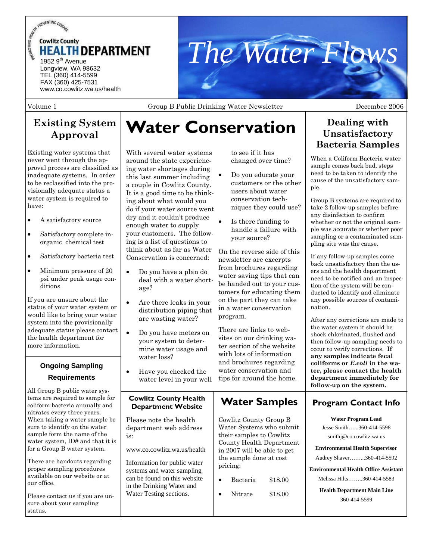



Volume 1 Group B Public Drinking Water Newsletter Seconder 2006

# **Existing System Approval**

Existing water systems that never went through the approval process are classified as inadequate systems. In order to be reclassified into the provisionally adequate status a water system is required to have:

- A satisfactory source
- Satisfactory complete inorganic chemical test
- Satisfactory bacteria test
- Minimum pressure of 20 psi under peak usage conditions

If you are unsure about the status of your water system or would like to bring your water system into the provisionally adequate status please contact the health department for more information.

### **Ongoing Sampling Requirements**

All Group B public water systems are required to sample for coliform bacteria annually and nitrates every three years. When taking a water sample be sure to identify on the water sample form the name of the water system, ID# and that it is for a Group B water system.

There are handouts regarding proper sampling procedures available on our website or at our office.

Please contact us if you are unsure about your sampling status.

# **Water Conservation**

With several water systems around the state experiencing water shortages during this last summer including a couple in Cowlitz County. It is a good time to be thinking about what would you do if your water source went dry and it couldn't produce enough water to supply your customers. The following is a list of questions to think about as far as Water Conservation is concerned:

- Do you have a plan do deal with a water shortage?
- Are there leaks in your distribution piping that are wasting water?
- Do you have meters on your system to determine water usage and water loss?
- Have you checked the water level in your well

### **Cowlitz County Health Department Website**

Please note the health department web address is:

www.co.cowlitz.wa.us/health

Information for public water systems and water sampling can be found on this website in the Drinking Water and Water Testing sections.

to see if it has changed over time?

- Do you educate your customers or the other users about water conservation techniques they could use?
- Is there funding to handle a failure with your source?

On the reverse side of this newsletter are excerpts from brochures regarding water saving tips that can be handed out to your customers for educating them on the part they can take in a water conservation program.

There are links to websites on our drinking water section of the website with lots of information and brochures regarding water conservation and tips for around the home.

# **Water Samples**

Cowlitz County Group B Water Systems who submit their samples to Cowlitz County Health Department in 2007 will be able to get the sample done at cost pricing:

- Bacteria \$18.00
	- Nitrate  $$18.00$

# **Dealing with Unsatisfactory Bacteria Samples**

When a Coliform Bacteria water sample comes back bad, steps need to be taken to identify the cause of the unsatisfactory sample.

Group B systems are required to take 2 follow-up samples before any disinfection to confirm whether or not the original sample was accurate or whether poor sampling or a contaminated sampling site was the cause.

If any follow-up samples come back unsatisfactory then the users and the health department need to be notified and an inspection of the system will be conducted to identify and eliminate any possible sources of contamination.

After any corrections are made to the water system it should be shock chlorinated, flushed and then follow-up sampling needs to occur to verify corrections. **If any samples indicate fecal coliforms or** *E.coli* **in the water, please contact the health department immediately for follow-up on the system.**

### **Program Contact Info**

**Water Program Lead**  Jesse Smith…...360-414-5598 smithj@co.cowlitz.wa.us

**Environmental Health Supervisor** 

Audrey Shaver……...360-414-5592

**Environmental Health Office Assistant**  Melissa Hilts……..360-414-5583

> **Health Department Main Line**  360-414-5599